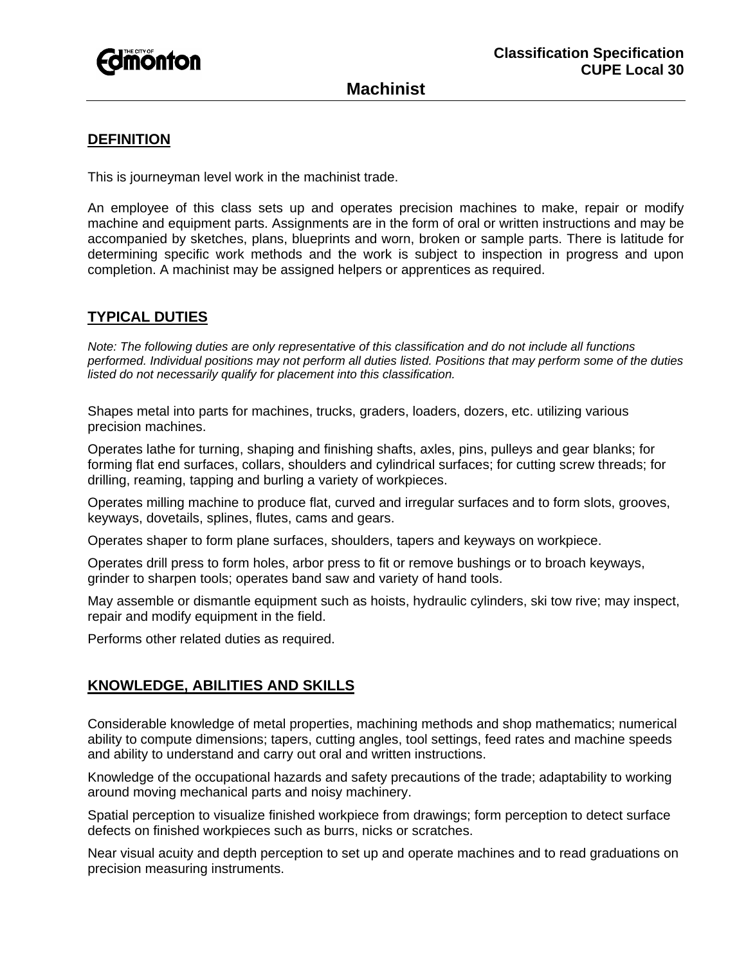

## **Machinist**

### **DEFINITION**

This is journeyman level work in the machinist trade.

An employee of this class sets up and operates precision machines to make, repair or modify machine and equipment parts. Assignments are in the form of oral or written instructions and may be accompanied by sketches, plans, blueprints and worn, broken or sample parts. There is latitude for determining specific work methods and the work is subject to inspection in progress and upon completion. A machinist may be assigned helpers or apprentices as required.

### **TYPICAL DUTIES**

*Note: The following duties are only representative of this classification and do not include all functions performed. Individual positions may not perform all duties listed. Positions that may perform some of the duties listed do not necessarily qualify for placement into this classification.* 

Shapes metal into parts for machines, trucks, graders, loaders, dozers, etc. utilizing various precision machines.

Operates lathe for turning, shaping and finishing shafts, axles, pins, pulleys and gear blanks; for forming flat end surfaces, collars, shoulders and cylindrical surfaces; for cutting screw threads; for drilling, reaming, tapping and burling a variety of workpieces.

Operates milling machine to produce flat, curved and irregular surfaces and to form slots, grooves, keyways, dovetails, splines, flutes, cams and gears.

Operates shaper to form plane surfaces, shoulders, tapers and keyways on workpiece.

Operates drill press to form holes, arbor press to fit or remove bushings or to broach keyways, grinder to sharpen tools; operates band saw and variety of hand tools.

May assemble or dismantle equipment such as hoists, hydraulic cylinders, ski tow rive; may inspect, repair and modify equipment in the field.

Performs other related duties as required.

## **KNOWLEDGE, ABILITIES AND SKILLS**

Considerable knowledge of metal properties, machining methods and shop mathematics; numerical ability to compute dimensions; tapers, cutting angles, tool settings, feed rates and machine speeds and ability to understand and carry out oral and written instructions.

Knowledge of the occupational hazards and safety precautions of the trade; adaptability to working around moving mechanical parts and noisy machinery.

Spatial perception to visualize finished workpiece from drawings; form perception to detect surface defects on finished workpieces such as burrs, nicks or scratches.

Near visual acuity and depth perception to set up and operate machines and to read graduations on precision measuring instruments.